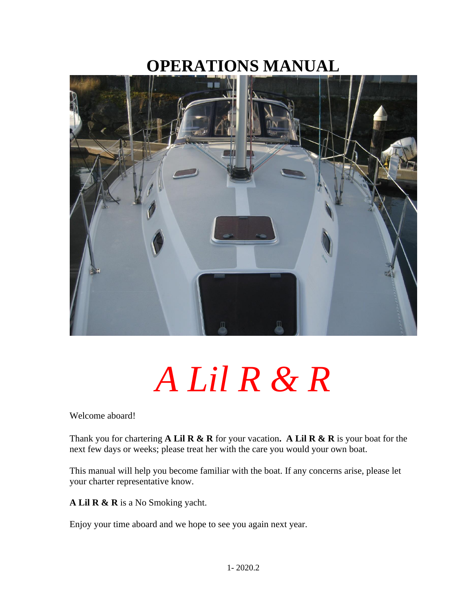# **OPERATIONS MANUAL**



# *A Lil R & R*

Welcome aboard!

Thank you for chartering **A Lil R & R** for your vacation**. A Lil R & R** is your boat for the next few days or weeks; please treat her with the care you would your own boat.

This manual will help you become familiar with the boat. If any concerns arise, please let your charter representative know.

**A Lil R & R** is a No Smoking yacht.

Enjoy your time aboard and we hope to see you again next year.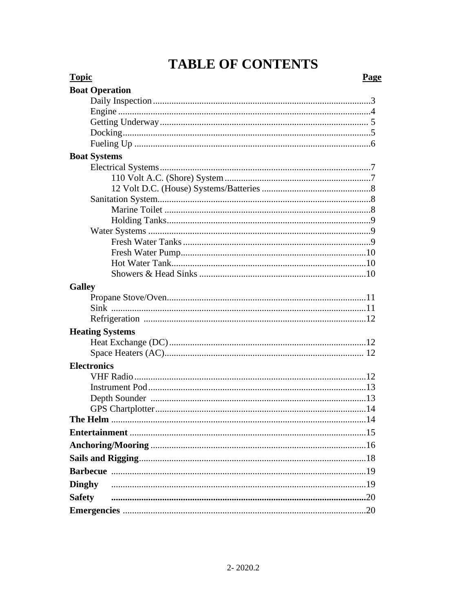# **TABLE OF CONTENTS**

| <b>Topic</b><br>Page   |
|------------------------|
| <b>Boat Operation</b>  |
|                        |
|                        |
|                        |
|                        |
|                        |
| <b>Boat Systems</b>    |
|                        |
|                        |
|                        |
|                        |
|                        |
|                        |
|                        |
|                        |
|                        |
|                        |
|                        |
| <b>Galley</b>          |
|                        |
|                        |
|                        |
| <b>Heating Systems</b> |
|                        |
|                        |
| <b>Electronics</b>     |
|                        |
|                        |
|                        |
|                        |
|                        |
|                        |
|                        |
|                        |
|                        |
|                        |
| <b>Dinghy</b>          |
| <b>Safety</b>          |
|                        |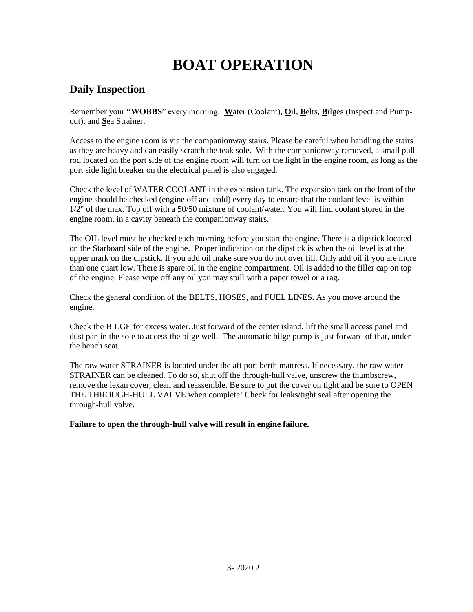# **BOAT OPERATION**

# **Daily Inspection**

Remember your **"WOBBS**" every morning: **W**ater (Coolant), **O**il, **B**elts, **B**ilges (Inspect and Pumpout), and **S**ea Strainer.

Access to the engine room is via the companionway stairs. Please be careful when handling the stairs as they are heavy and can easily scratch the teak sole. With the companionway removed, a small pull rod located on the port side of the engine room will turn on the light in the engine room, as long as the port side light breaker on the electrical panel is also engaged.

Check the level of WATER COOLANT in the expansion tank. The expansion tank on the front of the engine should be checked (engine off and cold) every day to ensure that the coolant level is within 1/2" of the max. Top off with a 50/50 mixture of coolant/water. You will find coolant stored in the engine room, in a cavity beneath the companionway stairs.

The OIL level must be checked each morning before you start the engine. There is a dipstick located on the Starboard side of the engine. Proper indication on the dipstick is when the oil level is at the upper mark on the dipstick. If you add oil make sure you do not over fill. Only add oil if you are more than one quart low. There is spare oil in the engine compartment. Oil is added to the filler cap on top of the engine. Please wipe off any oil you may spill with a paper towel or a rag.

Check the general condition of the BELTS, HOSES, and FUEL LINES. As you move around the engine.

Check the BILGE for excess water. Just forward of the center island, lift the small access panel and dust pan in the sole to access the bilge well. The automatic bilge pump is just forward of that, under the bench seat.

The raw water STRAINER is located under the aft port berth mattress. If necessary, the raw water STRAINER can be cleaned. To do so, shut off the through-hull valve, unscrew the thumbscrew, remove the lexan cover, clean and reassemble. Be sure to put the cover on tight and be sure to OPEN THE THROUGH-HULL VALVE when complete! Check for leaks/tight seal after opening the through-hull valve.

**Failure to open the through-hull valve will result in engine failure.**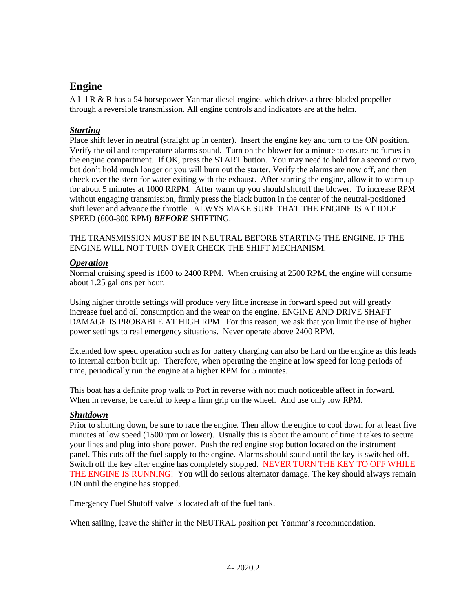# **Engine**

A Lil R & R has a 54 horsepower Yanmar diesel engine, which drives a three-bladed propeller through a reversible transmission. All engine controls and indicators are at the helm.

# *Starting*

Place shift lever in neutral (straight up in center). Insert the engine key and turn to the ON position. Verify the oil and temperature alarms sound. Turn on the blower for a minute to ensure no fumes in the engine compartment. If OK, press the START button. You may need to hold for a second or two, but don't hold much longer or you will burn out the starter. Verify the alarms are now off, and then check over the stern for water exiting with the exhaust. After starting the engine, allow it to warm up for about 5 minutes at 1000 RRPM. After warm up you should shutoff the blower. To increase RPM without engaging transmission, firmly press the black button in the center of the neutral-positioned shift lever and advance the throttle. ALWYS MAKE SURE THAT THE ENGINE IS AT IDLE SPEED (600-800 RPM) *BEFORE* SHIFTING.

THE TRANSMISSION MUST BE IN NEUTRAL BEFORE STARTING THE ENGINE. IF THE ENGINE WILL NOT TURN OVER CHECK THE SHIFT MECHANISM.

### *Operation*

Normal cruising speed is 1800 to 2400 RPM. When cruising at 2500 RPM, the engine will consume about 1.25 gallons per hour.

Using higher throttle settings will produce very little increase in forward speed but will greatly increase fuel and oil consumption and the wear on the engine. ENGINE AND DRIVE SHAFT DAMAGE IS PROBABLE AT HIGH RPM. For this reason, we ask that you limit the use of higher power settings to real emergency situations. Never operate above 2400 RPM.

Extended low speed operation such as for battery charging can also be hard on the engine as this leads to internal carbon built up. Therefore, when operating the engine at low speed for long periods of time, periodically run the engine at a higher RPM for 5 minutes.

This boat has a definite prop walk to Port in reverse with not much noticeable affect in forward. When in reverse, be careful to keep a firm grip on the wheel. And use only low RPM.

### *Shutdown*

Prior to shutting down, be sure to race the engine. Then allow the engine to cool down for at least five minutes at low speed (1500 rpm or lower). Usually this is about the amount of time it takes to secure your lines and plug into shore power. Push the red engine stop button located on the instrument panel. This cuts off the fuel supply to the engine. Alarms should sound until the key is switched off. Switch off the key after engine has completely stopped. NEVER TURN THE KEY TO OFF WHILE THE ENGINE IS RUNNING! You will do serious alternator damage. The key should always remain ON until the engine has stopped.

Emergency Fuel Shutoff valve is located aft of the fuel tank.

When sailing, leave the shifter in the NEUTRAL position per Yanmar's recommendation.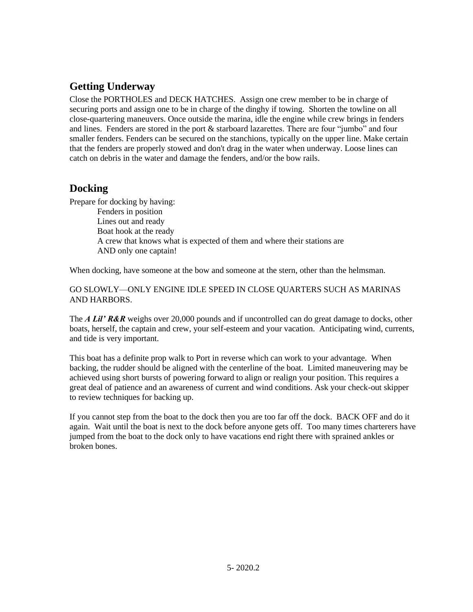# **Getting Underway**

Close the PORTHOLES and DECK HATCHES. Assign one crew member to be in charge of securing ports and assign one to be in charge of the dinghy if towing. Shorten the towline on all close-quartering maneuvers. Once outside the marina, idle the engine while crew brings in fenders and lines. Fenders are stored in the port & starboard lazarettes. There are four "jumbo" and four smaller fenders. Fenders can be secured on the stanchions, typically on the upper line. Make certain that the fenders are properly stowed and don't drag in the water when underway. Loose lines can catch on debris in the water and damage the fenders, and/or the bow rails.

# **Docking**

Prepare for docking by having: Fenders in position Lines out and ready Boat hook at the ready A crew that knows what is expected of them and where their stations are AND only one captain!

When docking, have someone at the bow and someone at the stern, other than the helmsman.

GO SLOWLY—ONLY ENGINE IDLE SPEED IN CLOSE QUARTERS SUCH AS MARINAS AND HARBORS.

The *A Lil' R&R* weighs over 20,000 pounds and if uncontrolled can do great damage to docks, other boats, herself, the captain and crew, your self-esteem and your vacation. Anticipating wind, currents, and tide is very important.

This boat has a definite prop walk to Port in reverse which can work to your advantage. When backing, the rudder should be aligned with the centerline of the boat. Limited maneuvering may be achieved using short bursts of powering forward to align or realign your position. This requires a great deal of patience and an awareness of current and wind conditions. Ask your check-out skipper to review techniques for backing up.

If you cannot step from the boat to the dock then you are too far off the dock. BACK OFF and do it again. Wait until the boat is next to the dock before anyone gets off. Too many times charterers have jumped from the boat to the dock only to have vacations end right there with sprained ankles or broken bones.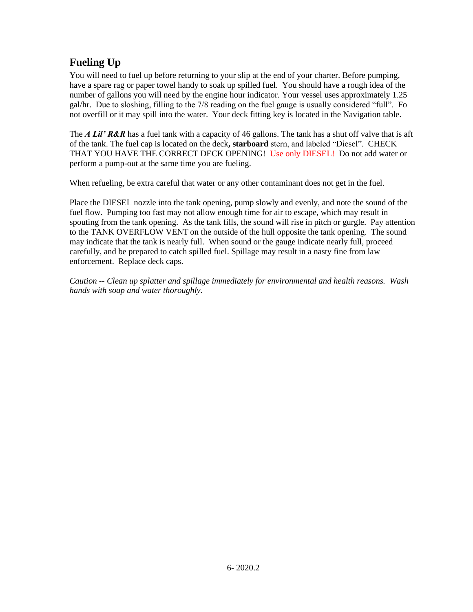# **Fueling Up**

You will need to fuel up before returning to your slip at the end of your charter. Before pumping, have a spare rag or paper towel handy to soak up spilled fuel. You should have a rough idea of the number of gallons you will need by the engine hour indicator. Your vessel uses approximately 1.25 gal/hr. Due to sloshing, filling to the 7/8 reading on the fuel gauge is usually considered "full". Fo not overfill or it may spill into the water. Your deck fitting key is located in the Navigation table.

The *A Lil' R&R* has a fuel tank with a capacity of 46 gallons. The tank has a shut off valve that is aft of the tank. The fuel cap is located on the deck**, starboard** stern, and labeled "Diesel". CHECK THAT YOU HAVE THE CORRECT DECK OPENING! Use only DIESEL! Do not add water or perform a pump-out at the same time you are fueling.

When refueling, be extra careful that water or any other contaminant does not get in the fuel.

Place the DIESEL nozzle into the tank opening, pump slowly and evenly, and note the sound of the fuel flow. Pumping too fast may not allow enough time for air to escape, which may result in spouting from the tank opening. As the tank fills, the sound will rise in pitch or gurgle. Pay attention to the TANK OVERFLOW VENT on the outside of the hull opposite the tank opening. The sound may indicate that the tank is nearly full. When sound or the gauge indicate nearly full, proceed carefully, and be prepared to catch spilled fuel. Spillage may result in a nasty fine from law enforcement. Replace deck caps.

*Caution -- Clean up splatter and spillage immediately for environmental and health reasons. Wash hands with soap and water thoroughly.*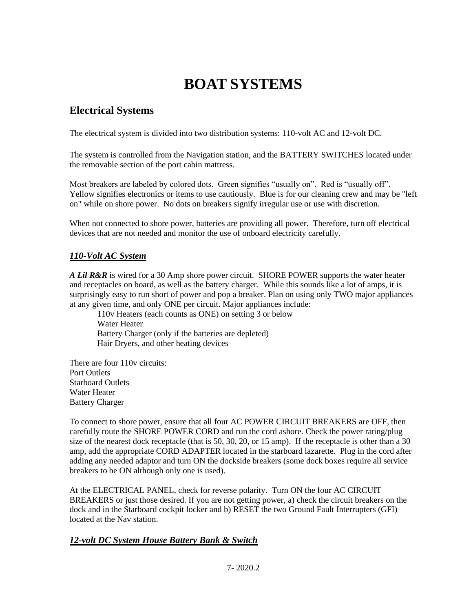# **BOAT SYSTEMS**

# **Electrical Systems**

The electrical system is divided into two distribution systems: 110-volt AC and 12-volt DC.

The system is controlled from the Navigation station, and the BATTERY SWITCHES located under the removable section of the port cabin mattress.

Most breakers are labeled by colored dots. Green signifies "usually on". Red is "usually off". Yellow signifies electronics or items to use cautiously. Blue is for our cleaning crew and may be "left on" while on shore power. No dots on breakers signify irregular use or use with discretion.

When not connected to shore power, batteries are providing all power. Therefore, turn off electrical devices that are not needed and monitor the use of onboard electricity carefully.

# *110-Volt AC System*

*A Lil R&R* is wired for a 30 Amp shore power circuit. SHORE POWER supports the water heater and receptacles on board, as well as the battery charger. While this sounds like a lot of amps, it is surprisingly easy to run short of power and pop a breaker. Plan on using only TWO major appliances at any given time, and only ONE per circuit. Major appliances include:

110v Heaters (each counts as ONE) on setting 3 or below Water Heater Battery Charger (only if the batteries are depleted) Hair Dryers, and other heating devices

There are four 110v circuits: Port Outlets Starboard Outlets Water Heater Battery Charger

To connect to shore power, ensure that all four AC POWER CIRCUIT BREAKERS are OFF, then carefully route the SHORE POWER CORD and run the cord ashore. Check the power rating/plug size of the nearest dock receptacle (that is 50, 30, 20, or 15 amp). If the receptacle is other than a 30 amp, add the appropriate CORD ADAPTER located in the starboard lazarette. Plug in the cord after adding any needed adaptor and turn ON the dockside breakers (some dock boxes require all service breakers to be ON although only one is used).

At the ELECTRICAL PANEL, check for reverse polarity. Turn ON the four AC CIRCUIT BREAKERS or just those desired. If you are not getting power, a) check the circuit breakers on the dock and in the Starboard cockpit locker and b) RESET the two Ground Fault Interrupters (GFI) located at the Nav station.

### *12-volt DC System House Battery Bank & Switch*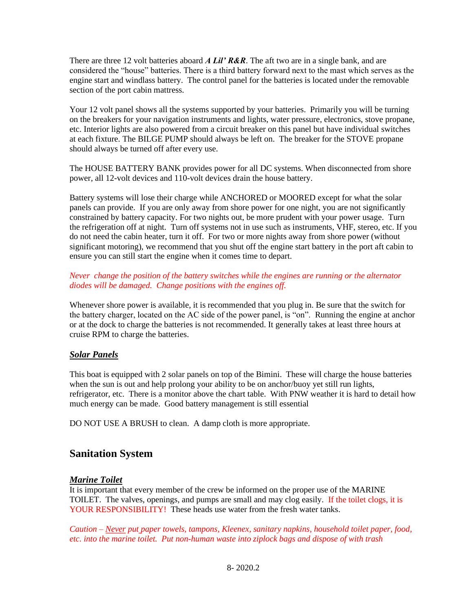There are three 12 volt batteries aboard *A Lil' R&R*. The aft two are in a single bank, and are considered the "house" batteries. There is a third battery forward next to the mast which serves as the engine start and windlass battery. The control panel for the batteries is located under the removable section of the port cabin mattress.

Your 12 volt panel shows all the systems supported by your batteries. Primarily you will be turning on the breakers for your navigation instruments and lights, water pressure, electronics, stove propane, etc. Interior lights are also powered from a circuit breaker on this panel but have individual switches at each fixture. The BILGE PUMP should always be left on. The breaker for the STOVE propane should always be turned off after every use.

The HOUSE BATTERY BANK provides power for all DC systems. When disconnected from shore power, all 12-volt devices and 110-volt devices drain the house battery.

Battery systems will lose their charge while ANCHORED or MOORED except for what the solar panels can provide. If you are only away from shore power for one night, you are not significantly constrained by battery capacity. For two nights out, be more prudent with your power usage. Turn the refrigeration off at night. Turn off systems not in use such as instruments, VHF, stereo, etc. If you do not need the cabin heater, turn it off. For two or more nights away from shore power (without significant motoring), we recommend that you shut off the engine start battery in the port aft cabin to ensure you can still start the engine when it comes time to depart.

#### *Never change the position of the battery switches while the engines are running or the alternator diodes will be damaged. Change positions with the engines off.*

Whenever shore power is available, it is recommended that you plug in. Be sure that the switch for the battery charger, located on the AC side of the power panel, is "on". Running the engine at anchor or at the dock to charge the batteries is not recommended. It generally takes at least three hours at cruise RPM to charge the batteries.

### *Solar Panels*

This boat is equipped with 2 solar panels on top of the Bimini. These will charge the house batteries when the sun is out and help prolong your ability to be on anchor/buoy yet still run lights, refrigerator, etc. There is a monitor above the chart table. With PNW weather it is hard to detail how much energy can be made. Good battery management is still essential

DO NOT USE A BRUSH to clean. A damp cloth is more appropriate.

# **Sanitation System**

### *Marine Toilet*

It is important that every member of the crew be informed on the proper use of the MARINE TOILET. The valves, openings, and pumps are small and may clog easily. If the toilet clogs, it is YOUR RESPONSIBILITY! These heads use water from the fresh water tanks.

*Caution – Never put paper towels, tampons, Kleenex, sanitary napkins, household toilet paper, food, etc. into the marine toilet. Put non-human waste into ziplock bags and dispose of with trash*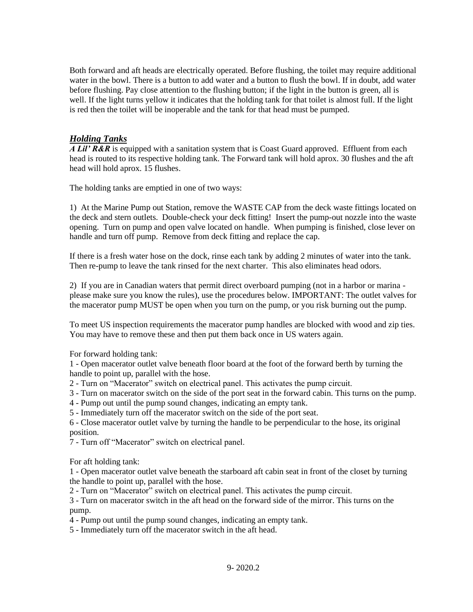Both forward and aft heads are electrically operated. Before flushing, the toilet may require additional water in the bowl. There is a button to add water and a button to flush the bowl. If in doubt, add water before flushing. Pay close attention to the flushing button; if the light in the button is green, all is well. If the light turns yellow it indicates that the holding tank for that toilet is almost full. If the light is red then the toilet will be inoperable and the tank for that head must be pumped.

# *Holding Tanks*

*A Lil' R&R* is equipped with a sanitation system that is Coast Guard approved. Effluent from each head is routed to its respective holding tank. The Forward tank will hold aprox. 30 flushes and the aft head will hold aprox. 15 flushes.

The holding tanks are emptied in one of two ways:

1) At the Marine Pump out Station, remove the WASTE CAP from the deck waste fittings located on the deck and stern outlets. Double-check your deck fitting! Insert the pump-out nozzle into the waste opening. Turn on pump and open valve located on handle. When pumping is finished, close lever on handle and turn off pump. Remove from deck fitting and replace the cap.

If there is a fresh water hose on the dock, rinse each tank by adding 2 minutes of water into the tank. Then re-pump to leave the tank rinsed for the next charter. This also eliminates head odors.

2) If you are in Canadian waters that permit direct overboard pumping (not in a harbor or marina please make sure you know the rules), use the procedures below. IMPORTANT: The outlet valves for the macerator pump MUST be open when you turn on the pump, or you risk burning out the pump.

To meet US inspection requirements the macerator pump handles are blocked with wood and zip ties. You may have to remove these and then put them back once in US waters again.

For forward holding tank:

1 - Open macerator outlet valve beneath floor board at the foot of the forward berth by turning the handle to point up, parallel with the hose.

- 2 Turn on "Macerator" switch on electrical panel. This activates the pump circuit.
- 3 Turn on macerator switch on the side of the port seat in the forward cabin. This turns on the pump.
- 4 Pump out until the pump sound changes, indicating an empty tank.
- 5 Immediately turn off the macerator switch on the side of the port seat.

6 - Close macerator outlet valve by turning the handle to be perpendicular to the hose, its original position.

7 - Turn off "Macerator" switch on electrical panel.

For aft holding tank:

1 - Open macerator outlet valve beneath the starboard aft cabin seat in front of the closet by turning the handle to point up, parallel with the hose.

2 - Turn on "Macerator" switch on electrical panel. This activates the pump circuit.

3 - Turn on macerator switch in the aft head on the forward side of the mirror. This turns on the pump.

4 - Pump out until the pump sound changes, indicating an empty tank.

5 - Immediately turn off the macerator switch in the aft head.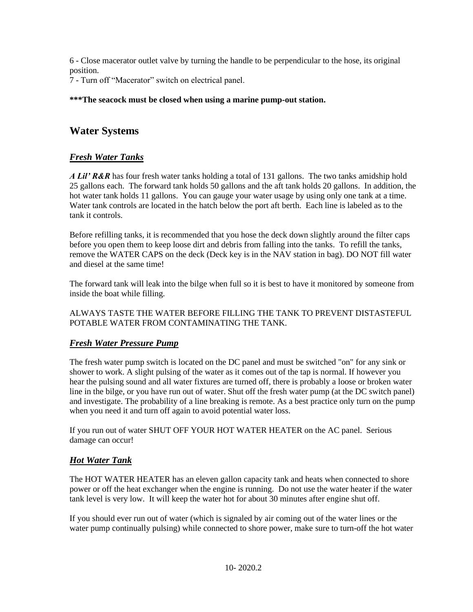6 - Close macerator outlet valve by turning the handle to be perpendicular to the hose, its original position.

7 - Turn off "Macerator" switch on electrical panel.

#### **\*\*\*The seacock must be closed when using a marine pump-out station.**

# **Water Systems**

# *Fresh Water Tanks*

*A Lil' R&R* has four fresh water tanks holding a total of 131 gallons. The two tanks amidship hold 25 gallons each. The forward tank holds 50 gallons and the aft tank holds 20 gallons. In addition, the hot water tank holds 11 gallons. You can gauge your water usage by using only one tank at a time. Water tank controls are located in the hatch below the port aft berth. Each line is labeled as to the tank it controls.

Before refilling tanks, it is recommended that you hose the deck down slightly around the filter caps before you open them to keep loose dirt and debris from falling into the tanks. To refill the tanks, remove the WATER CAPS on the deck (Deck key is in the NAV station in bag). DO NOT fill water and diesel at the same time!

The forward tank will leak into the bilge when full so it is best to have it monitored by someone from inside the boat while filling.

ALWAYS TASTE THE WATER BEFORE FILLING THE TANK TO PREVENT DISTASTEFUL POTABLE WATER FROM CONTAMINATING THE TANK.

### *Fresh Water Pressure Pump*

The fresh water pump switch is located on the DC panel and must be switched "on" for any sink or shower to work. A slight pulsing of the water as it comes out of the tap is normal. If however you hear the pulsing sound and all water fixtures are turned off, there is probably a loose or broken water line in the bilge, or you have run out of water. Shut off the fresh water pump (at the DC switch panel) and investigate. The probability of a line breaking is remote. As a best practice only turn on the pump when you need it and turn off again to avoid potential water loss.

If you run out of water SHUT OFF YOUR HOT WATER HEATER on the AC panel. Serious damage can occur!

### *Hot Water Tank*

The HOT WATER HEATER has an eleven gallon capacity tank and heats when connected to shore power or off the heat exchanger when the engine is running. Do not use the water heater if the water tank level is very low. It will keep the water hot for about 30 minutes after engine shut off.

If you should ever run out of water (which is signaled by air coming out of the water lines or the water pump continually pulsing) while connected to shore power, make sure to turn-off the hot water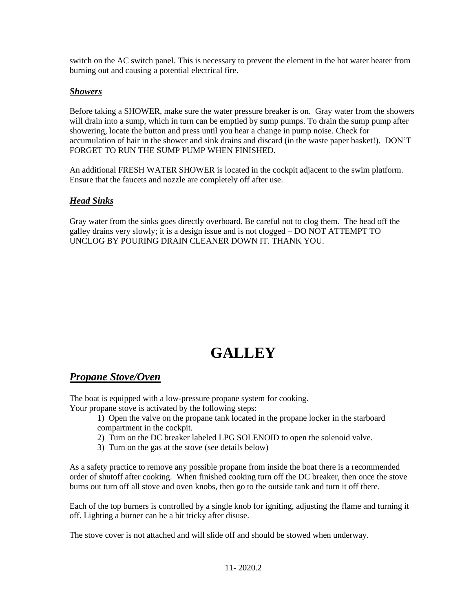switch on the AC switch panel. This is necessary to prevent the element in the hot water heater from burning out and causing a potential electrical fire.

### *Showers*

Before taking a SHOWER, make sure the water pressure breaker is on. Gray water from the showers will drain into a sump, which in turn can be emptied by sump pumps. To drain the sump pump after showering, locate the button and press until you hear a change in pump noise. Check for accumulation of hair in the shower and sink drains and discard (in the waste paper basket!). DON'T FORGET TO RUN THE SUMP PUMP WHEN FINISHED.

An additional FRESH WATER SHOWER is located in the cockpit adjacent to the swim platform. Ensure that the faucets and nozzle are completely off after use.

# *Head Sinks*

Gray water from the sinks goes directly overboard. Be careful not to clog them. The head off the galley drains very slowly; it is a design issue and is not clogged – DO NOT ATTEMPT TO UNCLOG BY POURING DRAIN CLEANER DOWN IT. THANK YOU.

# **GALLEY**

# *Propane Stove/Oven*

The boat is equipped with a low-pressure propane system for cooking. Your propane stove is activated by the following steps:

- 1) Open the valve on the propane tank located in the propane locker in the starboard compartment in the cockpit.
- 2) Turn on the DC breaker labeled LPG SOLENOID to open the solenoid valve.
- 3) Turn on the gas at the stove (see details below)

As a safety practice to remove any possible propane from inside the boat there is a recommended order of shutoff after cooking. When finished cooking turn off the DC breaker, then once the stove burns out turn off all stove and oven knobs, then go to the outside tank and turn it off there.

Each of the top burners is controlled by a single knob for igniting, adjusting the flame and turning it off. Lighting a burner can be a bit tricky after disuse.

The stove cover is not attached and will slide off and should be stowed when underway.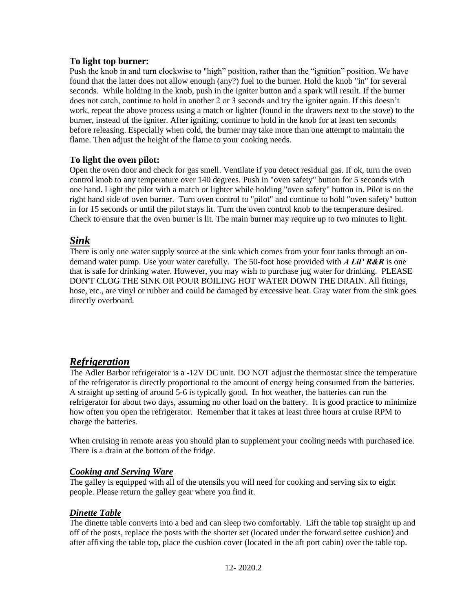# **To light top burner:**

Push the knob in and turn clockwise to "high" position, rather than the "ignition" position. We have found that the latter does not allow enough (any?) fuel to the burner. Hold the knob "in" for several seconds. While holding in the knob, push in the igniter button and a spark will result. If the burner does not catch, continue to hold in another 2 or 3 seconds and try the igniter again. If this doesn't work, repeat the above process using a match or lighter (found in the drawers next to the stove) to the burner, instead of the igniter. After igniting, continue to hold in the knob for at least ten seconds before releasing. Especially when cold, the burner may take more than one attempt to maintain the flame. Then adjust the height of the flame to your cooking needs.

# **To light the oven pilot:**

Open the oven door and check for gas smell. Ventilate if you detect residual gas. If ok, turn the oven control knob to any temperature over 140 degrees. Push in "oven safety" button for 5 seconds with one hand. Light the pilot with a match or lighter while holding "oven safety" button in. Pilot is on the right hand side of oven burner. Turn oven control to "pilot" and continue to hold "oven safety" button in for 15 seconds or until the pilot stays lit. Turn the oven control knob to the temperature desired. Check to ensure that the oven burner is lit. The main burner may require up to two minutes to light.

# *Sink*

There is only one water supply source at the sink which comes from your four tanks through an ondemand water pump. Use your water carefully. The 50-foot hose provided with *A Lil' R&R* is one that is safe for drinking water. However, you may wish to purchase jug water for drinking. PLEASE DON'T CLOG THE SINK OR POUR BOILING HOT WATER DOWN THE DRAIN. All fittings, hose, etc., are vinyl or rubber and could be damaged by excessive heat. Gray water from the sink goes directly overboard.

# *Refrigeration*

The Adler Barbor refrigerator is a -12V DC unit. DO NOT adjust the thermostat since the temperature of the refrigerator is directly proportional to the amount of energy being consumed from the batteries. A straight up setting of around 5-6 is typically good. In hot weather, the batteries can run the refrigerator for about two days, assuming no other load on the battery. It is good practice to minimize how often you open the refrigerator. Remember that it takes at least three hours at cruise RPM to charge the batteries.

When cruising in remote areas you should plan to supplement your cooling needs with purchased ice. There is a drain at the bottom of the fridge.

### *Cooking and Serving Ware*

The galley is equipped with all of the utensils you will need for cooking and serving six to eight people. Please return the galley gear where you find it.

### *Dinette Table*

The dinette table converts into a bed and can sleep two comfortably. Lift the table top straight up and off of the posts, replace the posts with the shorter set (located under the forward settee cushion) and after affixing the table top, place the cushion cover (located in the aft port cabin) over the table top.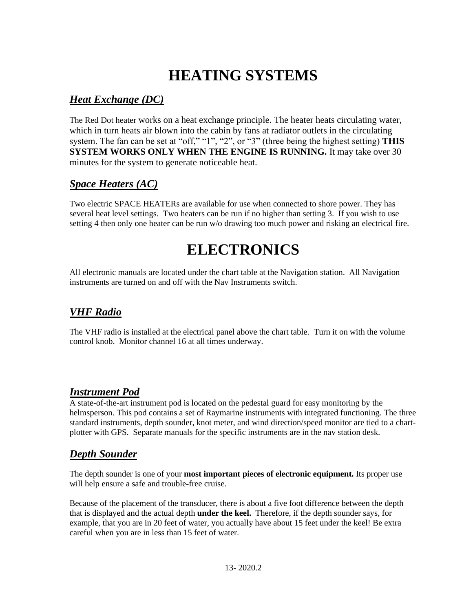# **HEATING SYSTEMS**

# *Heat Exchange (DC)*

The Red Dot heater works on a heat exchange principle. The heater heats circulating water, which in turn heats air blown into the cabin by fans at radiator outlets in the circulating system. The fan can be set at "off," "1", "2", or "3" (three being the highest setting) **THIS SYSTEM WORKS ONLY WHEN THE ENGINE IS RUNNING.** It may take over 30 minutes for the system to generate noticeable heat.

# *Space Heaters (AC)*

Two electric SPACE HEATERs are available for use when connected to shore power. They has several heat level settings. Two heaters can be run if no higher than setting 3. If you wish to use setting 4 then only one heater can be run w/o drawing too much power and risking an electrical fire.

# **ELECTRONICS**

All electronic manuals are located under the chart table at the Navigation station. All Navigation instruments are turned on and off with the Nav Instruments switch.

# *VHF Radio*

The VHF radio is installed at the electrical panel above the chart table. Turn it on with the volume control knob. Monitor channel 16 at all times underway.

# *Instrument Pod*

A state-of-the-art instrument pod is located on the pedestal guard for easy monitoring by the helmsperson. This pod contains a set of Raymarine instruments with integrated functioning. The three standard instruments, depth sounder, knot meter, and wind direction/speed monitor are tied to a chartplotter with GPS. Separate manuals for the specific instruments are in the nav station desk.

# *Depth Sounder*

The depth sounder is one of your **most important pieces of electronic equipment.** Its proper use will help ensure a safe and trouble-free cruise.

Because of the placement of the transducer, there is about a five foot difference between the depth that is displayed and the actual depth **under the keel.** Therefore, if the depth sounder says, for example, that you are in 20 feet of water, you actually have about 15 feet under the keel! Be extra careful when you are in less than 15 feet of water.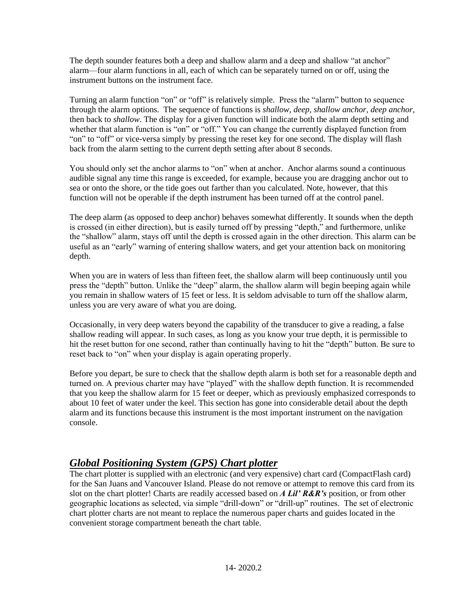The depth sounder features both a deep and shallow alarm and a deep and shallow "at anchor" alarm—four alarm functions in all, each of which can be separately turned on or off, using the instrument buttons on the instrument face.

Turning an alarm function "on" or "off" is relatively simple. Press the "alarm" button to sequence through the alarm options. The sequence of functions is *shallow, deep, shallow anchor, deep anchor*, then back to *shallow*. The display for a given function will indicate both the alarm depth setting and whether that alarm function is "on" or "off." You can change the currently displayed function from "on" to "off" or vice-versa simply by pressing the reset key for one second. The display will flash back from the alarm setting to the current depth setting after about 8 seconds.

You should only set the anchor alarms to "on" when at anchor. Anchor alarms sound a continuous audible signal any time this range is exceeded, for example, because you are dragging anchor out to sea or onto the shore, or the tide goes out farther than you calculated. Note, however, that this function will not be operable if the depth instrument has been turned off at the control panel.

The deep alarm (as opposed to deep anchor) behaves somewhat differently. It sounds when the depth is crossed (in either direction), but is easily turned off by pressing "depth," and furthermore, unlike the "shallow" alarm, stays off until the depth is crossed again in the other direction. This alarm can be useful as an "early" warning of entering shallow waters, and get your attention back on monitoring depth.

When you are in waters of less than fifteen feet, the shallow alarm will beep continuously until you press the "depth" button. Unlike the "deep" alarm, the shallow alarm will begin beeping again while you remain in shallow waters of 15 feet or less. It is seldom advisable to turn off the shallow alarm, unless you are very aware of what you are doing.

Occasionally, in very deep waters beyond the capability of the transducer to give a reading, a false shallow reading will appear. In such cases, as long as you know your true depth, it is permissible to hit the reset button for one second, rather than continually having to hit the "depth" button. Be sure to reset back to "on" when your display is again operating properly.

Before you depart, be sure to check that the shallow depth alarm is both set for a reasonable depth and turned on. A previous charter may have "played" with the shallow depth function. It is recommended that you keep the shallow alarm for 15 feet or deeper, which as previously emphasized corresponds to about 10 feet of water under the keel. This section has gone into considerable detail about the depth alarm and its functions because this instrument is the most important instrument on the navigation console.

# *Global Positioning System (GPS) Chart plotter*

The chart plotter is supplied with an electronic (and very expensive) chart card (CompactFlash card) for the San Juans and Vancouver Island. Please do not remove or attempt to remove this card from its slot on the chart plotter! Charts are readily accessed based on *A Lil' R&R's* position, or from other geographic locations as selected, via simple "drill-down" or "drill-up" routines. The set of electronic chart plotter charts are not meant to replace the numerous paper charts and guides located in the convenient storage compartment beneath the chart table.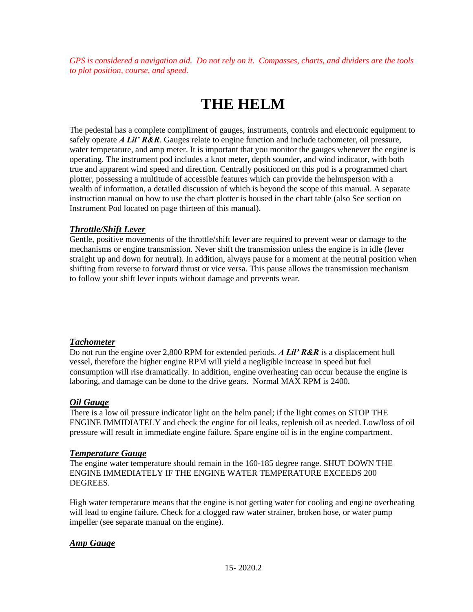*GPS is considered a navigation aid. Do not rely on it. Compasses, charts, and dividers are the tools to plot position, course, and speed.*

# **THE HELM**

The pedestal has a complete compliment of gauges, instruments, controls and electronic equipment to safely operate *A Lil' R&R*. Gauges relate to engine function and include tachometer, oil pressure, water temperature, and amp meter. It is important that you monitor the gauges whenever the engine is operating. The instrument pod includes a knot meter, depth sounder, and wind indicator, with both true and apparent wind speed and direction. Centrally positioned on this pod is a programmed chart plotter, possessing a multitude of accessible features which can provide the helmsperson with a wealth of information, a detailed discussion of which is beyond the scope of this manual. A separate instruction manual on how to use the chart plotter is housed in the chart table (also See section on Instrument Pod located on page thirteen of this manual).

### *Throttle/Shift Lever*

Gentle, positive movements of the throttle/shift lever are required to prevent wear or damage to the mechanisms or engine transmission. Never shift the transmission unless the engine is in idle (lever straight up and down for neutral). In addition, always pause for a moment at the neutral position when shifting from reverse to forward thrust or vice versa. This pause allows the transmission mechanism to follow your shift lever inputs without damage and prevents wear.

### *Tachometer*

Do not run the engine over 2,800 RPM for extended periods. *A Lil' R&R* is a displacement hull vessel, therefore the higher engine RPM will yield a negligible increase in speed but fuel consumption will rise dramatically. In addition, engine overheating can occur because the engine is laboring, and damage can be done to the drive gears. Normal MAX RPM is 2400.

### *Oil Gauge*

There is a low oil pressure indicator light on the helm panel; if the light comes on STOP THE ENGINE IMMIDIATELY and check the engine for oil leaks, replenish oil as needed. Low/loss of oil pressure will result in immediate engine failure. Spare engine oil is in the engine compartment.

### *Temperature Gauge*

The engine water temperature should remain in the 160-185 degree range. SHUT DOWN THE ENGINE IMMEDIATELY IF THE ENGINE WATER TEMPERATURE EXCEEDS 200 DEGREES.

High water temperature means that the engine is not getting water for cooling and engine overheating will lead to engine failure. Check for a clogged raw water strainer, broken hose, or water pump impeller (see separate manual on the engine).

# *Amp Gauge*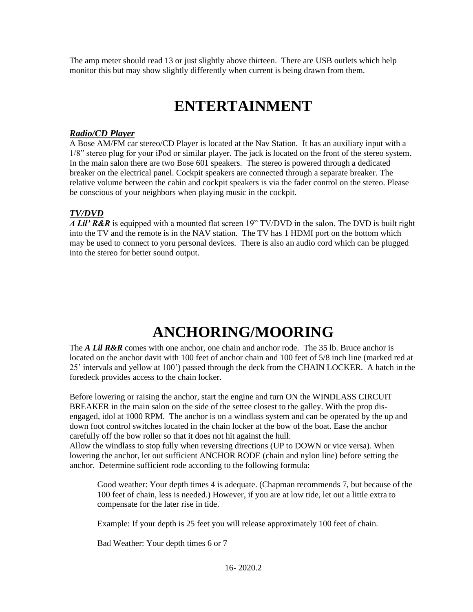The amp meter should read 13 or just slightly above thirteen. There are USB outlets which help monitor this but may show slightly differently when current is being drawn from them.

# **ENTERTAINMENT**

### *Radio/CD Player*

A Bose AM/FM car stereo/CD Player is located at the Nav Station. It has an auxiliary input with a 1/8" stereo plug for your iPod or similar player. The jack is located on the front of the stereo system. In the main salon there are two Bose 601 speakers. The stereo is powered through a dedicated breaker on the electrical panel. Cockpit speakers are connected through a separate breaker. The relative volume between the cabin and cockpit speakers is via the fader control on the stereo. Please be conscious of your neighbors when playing music in the cockpit.

# *TV/DVD*

*A Lil' R&R* is equipped with a mounted flat screen 19" TV/DVD in the salon. The DVD is built right into the TV and the remote is in the NAV station. The TV has 1 HDMI port on the bottom which may be used to connect to yoru personal devices. There is also an audio cord which can be plugged into the stereo for better sound output.

# **ANCHORING/MOORING**

The *A Lil R&R* comes with one anchor, one chain and anchor rode. The 35 lb. Bruce anchor is located on the anchor davit with 100 feet of anchor chain and 100 feet of 5/8 inch line (marked red at 25' intervals and yellow at 100') passed through the deck from the CHAIN LOCKER. A hatch in the foredeck provides access to the chain locker.

Before lowering or raising the anchor, start the engine and turn ON the WINDLASS CIRCUIT BREAKER in the main salon on the side of the settee closest to the galley. With the prop disengaged, idol at 1000 RPM. The anchor is on a windlass system and can be operated by the up and down foot control switches located in the chain locker at the bow of the boat. Ease the anchor carefully off the bow roller so that it does not hit against the hull.

Allow the windlass to stop fully when reversing directions (UP to DOWN or vice versa). When lowering the anchor, let out sufficient ANCHOR RODE (chain and nylon line) before setting the anchor. Determine sufficient rode according to the following formula:

Good weather: Your depth times 4 is adequate. (Chapman recommends 7, but because of the 100 feet of chain, less is needed.) However, if you are at low tide, let out a little extra to compensate for the later rise in tide.

Example: If your depth is 25 feet you will release approximately 100 feet of chain.

Bad Weather: Your depth times 6 or 7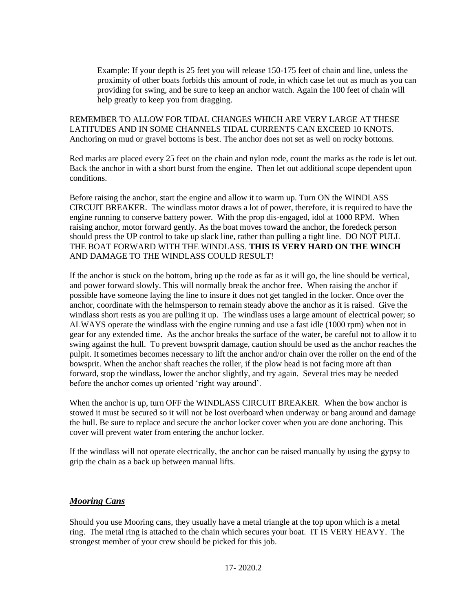Example: If your depth is 25 feet you will release 150-175 feet of chain and line, unless the proximity of other boats forbids this amount of rode, in which case let out as much as you can providing for swing, and be sure to keep an anchor watch. Again the 100 feet of chain will help greatly to keep you from dragging.

REMEMBER TO ALLOW FOR TIDAL CHANGES WHICH ARE VERY LARGE AT THESE LATITUDES AND IN SOME CHANNELS TIDAL CURRENTS CAN EXCEED 10 KNOTS. Anchoring on mud or gravel bottoms is best. The anchor does not set as well on rocky bottoms.

Red marks are placed every 25 feet on the chain and nylon rode, count the marks as the rode is let out. Back the anchor in with a short burst from the engine. Then let out additional scope dependent upon conditions.

Before raising the anchor, start the engine and allow it to warm up. Turn ON the WINDLASS CIRCUIT BREAKER. The windlass motor draws a lot of power, therefore, it is required to have the engine running to conserve battery power. With the prop dis-engaged, idol at 1000 RPM. When raising anchor, motor forward gently. As the boat moves toward the anchor, the foredeck person should press the UP control to take up slack line, rather than pulling a tight line. DO NOT PULL THE BOAT FORWARD WITH THE WINDLASS. **THIS IS VERY HARD ON THE WINCH** AND DAMAGE TO THE WINDLASS COULD RESULT!

If the anchor is stuck on the bottom, bring up the rode as far as it will go, the line should be vertical, and power forward slowly. This will normally break the anchor free. When raising the anchor if possible have someone laying the line to insure it does not get tangled in the locker. Once over the anchor, coordinate with the helmsperson to remain steady above the anchor as it is raised. Give the windlass short rests as you are pulling it up. The windlass uses a large amount of electrical power; so ALWAYS operate the windlass with the engine running and use a fast idle (1000 rpm) when not in gear for any extended time*.* As the anchor breaks the surface of the water, be careful not to allow it to swing against the hull. To prevent bowsprit damage, caution should be used as the anchor reaches the pulpit. It sometimes becomes necessary to lift the anchor and/or chain over the roller on the end of the bowsprit. When the anchor shaft reaches the roller, if the plow head is not facing more aft than forward, stop the windlass, lower the anchor slightly, and try again. Several tries may be needed before the anchor comes up oriented 'right way around'.

When the anchor is up, turn OFF the WINDLASS CIRCUIT BREAKER. When the bow anchor is stowed it must be secured so it will not be lost overboard when underway or bang around and damage the hull. Be sure to replace and secure the anchor locker cover when you are done anchoring. This cover will prevent water from entering the anchor locker.

If the windlass will not operate electrically, the anchor can be raised manually by using the gypsy to grip the chain as a back up between manual lifts.

### *Mooring Cans*

Should you use Mooring cans, they usually have a metal triangle at the top upon which is a metal ring. The metal ring is attached to the chain which secures your boat. IT IS VERY HEAVY. The strongest member of your crew should be picked for this job.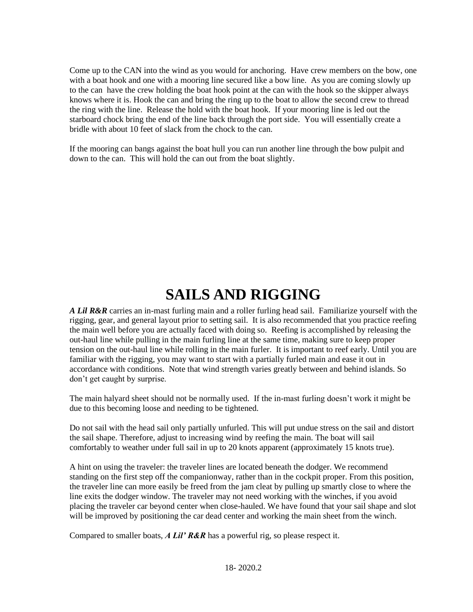Come up to the CAN into the wind as you would for anchoring. Have crew members on the bow, one with a boat hook and one with a mooring line secured like a bow line. As you are coming slowly up to the can have the crew holding the boat hook point at the can with the hook so the skipper always knows where it is. Hook the can and bring the ring up to the boat to allow the second crew to thread the ring with the line. Release the hold with the boat hook. If your mooring line is led out the starboard chock bring the end of the line back through the port side. You will essentially create a bridle with about 10 feet of slack from the chock to the can.

If the mooring can bangs against the boat hull you can run another line through the bow pulpit and down to the can. This will hold the can out from the boat slightly.

# **SAILS AND RIGGING**

*A Lil R&R* carries an in-mast furling main and a roller furling head sail. Familiarize yourself with the rigging, gear, and general layout prior to setting sail. It is also recommended that you practice reefing the main well before you are actually faced with doing so. Reefing is accomplished by releasing the out-haul line while pulling in the main furling line at the same time, making sure to keep proper tension on the out-haul line while rolling in the main furler. It is important to reef early. Until you are familiar with the rigging, you may want to start with a partially furled main and ease it out in accordance with conditions. Note that wind strength varies greatly between and behind islands. So don't get caught by surprise.

The main halyard sheet should not be normally used. If the in-mast furling doesn't work it might be due to this becoming loose and needing to be tightened.

Do not sail with the head sail only partially unfurled. This will put undue stress on the sail and distort the sail shape. Therefore, adjust to increasing wind by reefing the main. The boat will sail comfortably to weather under full sail in up to 20 knots apparent (approximately 15 knots true).

A hint on using the traveler: the traveler lines are located beneath the dodger. We recommend standing on the first step off the companionway, rather than in the cockpit proper. From this position, the traveler line can more easily be freed from the jam cleat by pulling up smartly close to where the line exits the dodger window. The traveler may not need working with the winches, if you avoid placing the traveler car beyond center when close-hauled. We have found that your sail shape and slot will be improved by positioning the car dead center and working the main sheet from the winch.

Compared to smaller boats, *A Lil' R&R* has a powerful rig, so please respect it.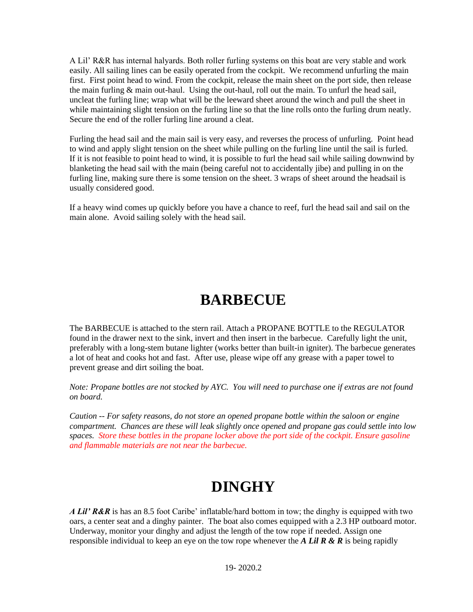A Lil' R&R has internal halyards. Both roller furling systems on this boat are very stable and work easily. All sailing lines can be easily operated from the cockpit. We recommend unfurling the main first. First point head to wind. From the cockpit, release the main sheet on the port side, then release the main furling & main out-haul. Using the out-haul, roll out the main. To unfurl the head sail, uncleat the furling line; wrap what will be the leeward sheet around the winch and pull the sheet in while maintaining slight tension on the furling line so that the line rolls onto the furling drum neatly. Secure the end of the roller furling line around a cleat.

Furling the head sail and the main sail is very easy, and reverses the process of unfurling. Point head to wind and apply slight tension on the sheet while pulling on the furling line until the sail is furled. If it is not feasible to point head to wind, it is possible to furl the head sail while sailing downwind by blanketing the head sail with the main (being careful not to accidentally jibe) and pulling in on the furling line, making sure there is some tension on the sheet. 3 wraps of sheet around the headsail is usually considered good.

If a heavy wind comes up quickly before you have a chance to reef, furl the head sail and sail on the main alone. Avoid sailing solely with the head sail.

# **BARBECUE**

The BARBECUE is attached to the stern rail. Attach a PROPANE BOTTLE to the REGULATOR found in the drawer next to the sink, invert and then insert in the barbecue. Carefully light the unit, preferably with a long-stem butane lighter (works better than built-in igniter). The barbecue generates a lot of heat and cooks hot and fast. After use, please wipe off any grease with a paper towel to prevent grease and dirt soiling the boat.

*Note: Propane bottles are not stocked by AYC. You will need to purchase one if extras are not found on board.*

*Caution -- For safety reasons, do not store an opened propane bottle within the saloon or engine compartment. Chances are these will leak slightly once opened and propane gas could settle into low spaces. Store these bottles in the propane locker above the port side of the cockpit. Ensure gasoline and flammable materials are not near the barbecue.*

# **DINGHY**

*A Lil' R&R* is has an 8.5 foot Caribe' inflatable/hard bottom in tow; the dinghy is equipped with two oars, a center seat and a dinghy painter. The boat also comes equipped with a 2.3 HP outboard motor. Underway, monitor your dinghy and adjust the length of the tow rope if needed. Assign one responsible individual to keep an eye on the tow rope whenever the *A Lil R & R* is being rapidly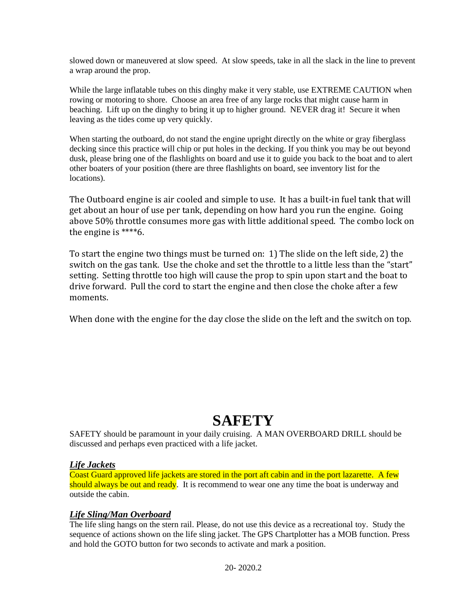slowed down or maneuvered at slow speed. At slow speeds, take in all the slack in the line to prevent a wrap around the prop.

While the large inflatable tubes on this dinghy make it very stable, use EXTREME CAUTION when rowing or motoring to shore. Choose an area free of any large rocks that might cause harm in beaching. Lift up on the dinghy to bring it up to higher ground. NEVER drag it! Secure it when leaving as the tides come up very quickly.

When starting the outboard, do not stand the engine upright directly on the white or gray fiberglass decking since this practice will chip or put holes in the decking. If you think you may be out beyond dusk, please bring one of the flashlights on board and use it to guide you back to the boat and to alert other boaters of your position (there are three flashlights on board, see inventory list for the locations).

The Outboard engine is air cooled and simple to use. It has a built-in fuel tank that will get about an hour of use per tank, depending on how hard you run the engine. Going above 50% throttle consumes more gas with little additional speed. The combo lock on the engine is \*\*\*\*6.

To start the engine two things must be turned on: 1) The slide on the left side, 2) the switch on the gas tank. Use the choke and set the throttle to a little less than the "start" setting. Setting throttle too high will cause the prop to spin upon start and the boat to drive forward. Pull the cord to start the engine and then close the choke after a few moments.

When done with the engine for the day close the slide on the left and the switch on top.

# **SAFETY**

SAFETY should be paramount in your daily cruising. A MAN OVERBOARD DRILL should be discussed and perhaps even practiced with a life jacket.

### *Life Jackets*

Coast Guard approved life jackets are stored in the port aft cabin and in the port lazarette. A few should always be out and ready. It is recommend to wear one any time the boat is underway and outside the cabin.

# *Life Sling/Man Overboard*

The life sling hangs on the stern rail. Please, do not use this device as a recreational toy. Study the sequence of actions shown on the life sling jacket. The GPS Chartplotter has a MOB function. Press and hold the GOTO button for two seconds to activate and mark a position.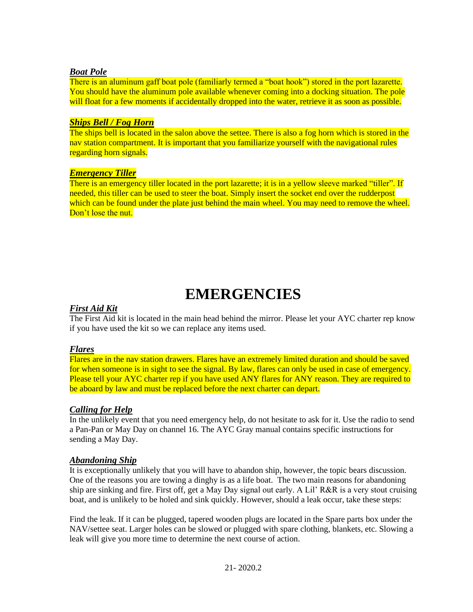#### *Boat Pole*

There is an aluminum gaff boat pole (familiarly termed a "boat hook") stored in the port lazarette. You should have the aluminum pole available whenever coming into a docking situation. The pole will float for a few moments if accidentally dropped into the water, retrieve it as soon as possible.

### *Ships Bell / Fog Horn*

The ships bell is located in the salon above the settee. There is also a fog horn which is stored in the nav station compartment. It is important that you familiarize yourself with the navigational rules regarding horn signals.

#### *Emergency Tiller*

There is an emergency tiller located in the port lazarette; it is in a yellow sleeve marked "tiller". If needed, this tiller can be used to steer the boat. Simply insert the socket end over the rudderpost which can be found under the plate just behind the main wheel. You may need to remove the wheel. Don't lose the nut.

# **EMERGENCIES**

### *First Aid Kit*

The First Aid kit is located in the main head behind the mirror. Please let your AYC charter rep know if you have used the kit so we can replace any items used.

#### *Flares*

Flares are in the nav station drawers. Flares have an extremely limited duration and should be saved for when someone is in sight to see the signal. By law, flares can only be used in case of emergency. Please tell your AYC charter rep if you have used ANY flares for ANY reason. They are required to be aboard by law and must be replaced before the next charter can depart.

### *Calling for Help*

In the unlikely event that you need emergency help, do not hesitate to ask for it. Use the radio to send a Pan-Pan or May Day on channel 16. The AYC Gray manual contains specific instructions for sending a May Day.

### *Abandoning Ship*

It is exceptionally unlikely that you will have to abandon ship, however, the topic bears discussion. One of the reasons you are towing a dinghy is as a life boat. The two main reasons for abandoning ship are sinking and fire. First off, get a May Day signal out early. A Lil' R&R is a very stout cruising boat, and is unlikely to be holed and sink quickly. However, should a leak occur, take these steps:

Find the leak. If it can be plugged, tapered wooden plugs are located in the Spare parts box under the NAV/settee seat. Larger holes can be slowed or plugged with spare clothing, blankets, etc. Slowing a leak will give you more time to determine the next course of action.